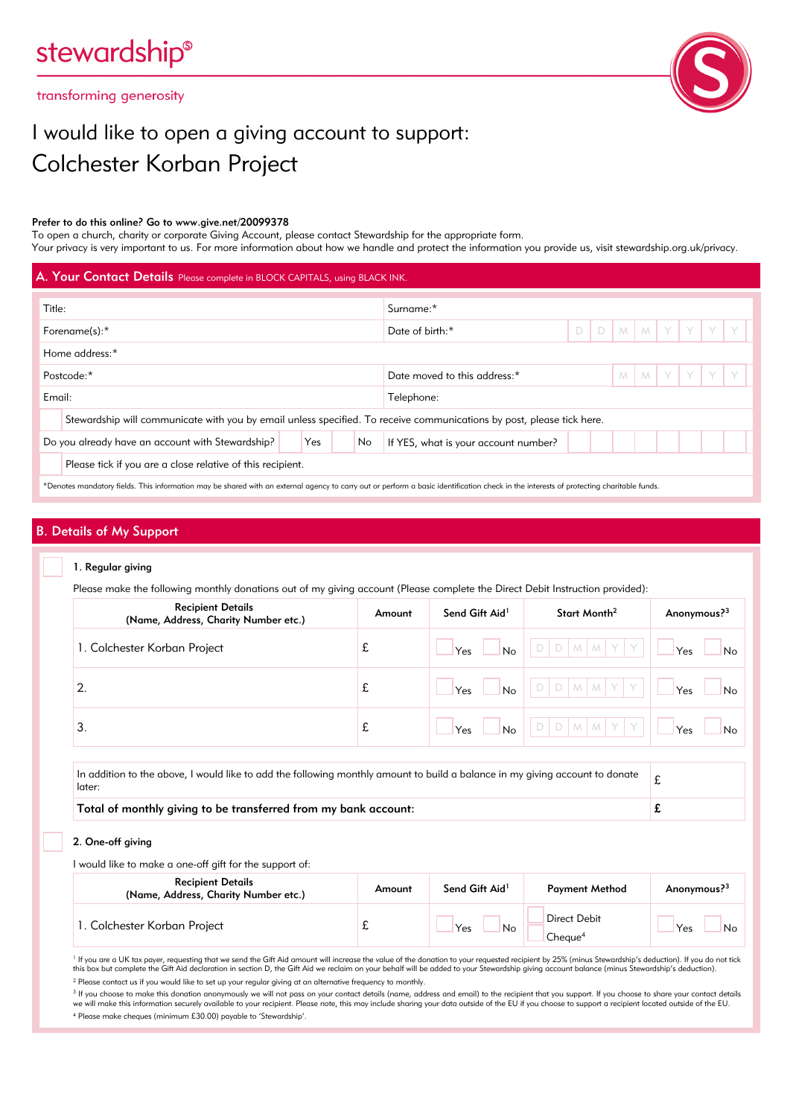# stewardship®

transforming generosity



## I would like to open a giving account to support: Colchester Korban Project

#### Prefer to do this online? Go to www.give.net/20099378

To open a church, charity or corporate Giving Account, please contact Stewardship for the appropriate form. Your privacy is very important to us. For more information about how we handle and protect the information you provide us, visit stewardship.org.uk/privacy.

| A. Your Contact Details Please complete in BLOCK CAPITALS, using BLACK INK.                                                                                                             |                                                                                                                       |  |           |                      |                              |                                      |  |  |  |               |             |  |  |  |
|-----------------------------------------------------------------------------------------------------------------------------------------------------------------------------------------|-----------------------------------------------------------------------------------------------------------------------|--|-----------|----------------------|------------------------------|--------------------------------------|--|--|--|---------------|-------------|--|--|--|
| Title:                                                                                                                                                                                  |                                                                                                                       |  | Surname:* |                      |                              |                                      |  |  |  |               |             |  |  |  |
| Forename(s):*                                                                                                                                                                           |                                                                                                                       |  |           | D<br>Date of birth:* |                              |                                      |  |  |  | D M M Y Y Y Y |             |  |  |  |
|                                                                                                                                                                                         | Home address:*                                                                                                        |  |           |                      |                              |                                      |  |  |  |               |             |  |  |  |
|                                                                                                                                                                                         | Postcode:*                                                                                                            |  |           |                      | Date moved to this address:* |                                      |  |  |  |               | M M Y Y Y Y |  |  |  |
| Email:                                                                                                                                                                                  |                                                                                                                       |  |           | Telephone:           |                              |                                      |  |  |  |               |             |  |  |  |
|                                                                                                                                                                                         | Stewardship will communicate with you by email unless specified. To receive communications by post, please tick here. |  |           |                      |                              |                                      |  |  |  |               |             |  |  |  |
|                                                                                                                                                                                         | Do you already have an account with Stewardship?                                                                      |  | Yes       |                      | No                           | If YES, what is your account number? |  |  |  |               |             |  |  |  |
|                                                                                                                                                                                         | Please tick if you are a close relative of this recipient.                                                            |  |           |                      |                              |                                      |  |  |  |               |             |  |  |  |
| *Denotes mandatory fields. This information may be shared with an external agency to carry out or perform a basic identification check in the interests of protecting charitable funds. |                                                                                                                       |  |           |                      |                              |                                      |  |  |  |               |             |  |  |  |

## B. Details of My Support

#### 1. Regular giving

Please make the following monthly donations out of my giving account (Please complete the Direct Debit Instruction provided):

| <b>Recipient Details</b><br>(Name, Address, Charity Number etc.)                                                                       | Amount | Send Gift Aid <sup>1</sup> | Start Month <sup>2</sup> | Anonymous? <sup>3</sup> |  |  |  |
|----------------------------------------------------------------------------------------------------------------------------------------|--------|----------------------------|--------------------------|-------------------------|--|--|--|
| 1. Colchester Korban Project                                                                                                           | £      | No<br>Yes                  | MN'                      | Yes<br>No               |  |  |  |
|                                                                                                                                        | £      | No<br>Yes                  | M <sub>1</sub>           | Yes<br>No               |  |  |  |
| 3.                                                                                                                                     | £      | <b>No</b><br>Yes           | MMY                      | Yes<br>No               |  |  |  |
| In addition to the above, I would like to add the following monthly amount to build a balance in my giving account to donate<br>later: |        |                            |                          |                         |  |  |  |

Total of monthly giving to be transferred from my bank account:  $\mathbf{f}$ 

2. One-off giving

I would like to make a one-off gift for the support of:

| <b>Recipient Details</b><br>(Name, Address, Charity Number etc.) | Amount | Send Gift Aid <sup>1</sup> | <b>Payment Method</b>                      | Anonymous? <sup>3</sup> |
|------------------------------------------------------------------|--------|----------------------------|--------------------------------------------|-------------------------|
| 1. Colchester Korban Project                                     | ∼      | Yes<br><b>No</b>           | <b>Direct Debit</b><br>Cheaue <sup>4</sup> | Yes<br>No               |

<sup>1</sup> If you are a UK tax payer, requesting that we send the Gift Aid amount will increase the value of the donation to your requested recipient by 25% (minus Stewardship's deduction). If you do not tick this box but complete the Gift Aid declaration in section D, the Gift Aid we reclaim on your behalf will be added to your Stewardship giving account balance (minus Stewardship's deduction).

<sup>2</sup> Please contact us if you would like to set up your regular giving at an alternative frequency to monthly.

<sup>3</sup> If you choose to make this donation anonymously we will not pass on your contact details (name, address and email) to the recipient that you support. If you choose to share your contact details<br>we will make this inform

4 Please make cheques (minimum £30.00) payable to 'Stewardship'.